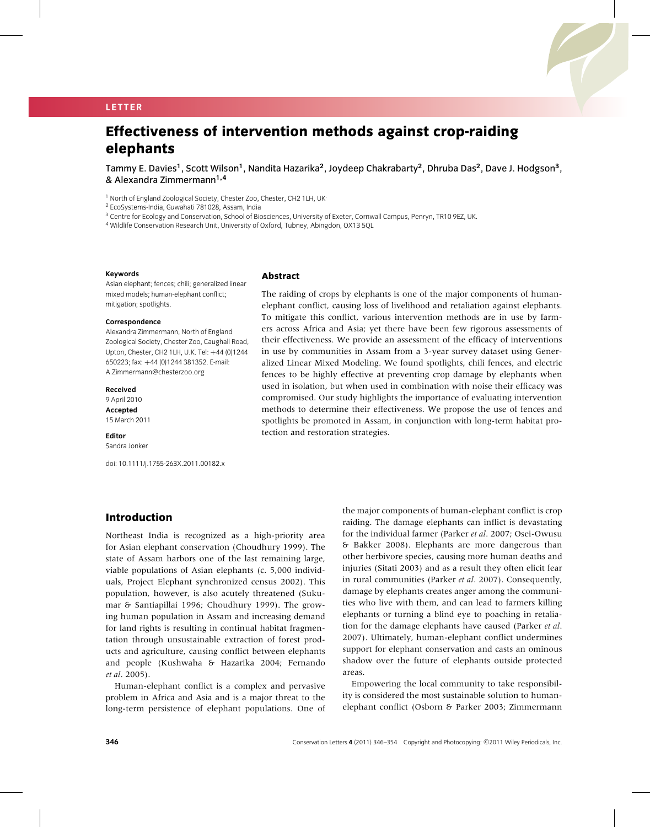## **LETTER**

# **Effectiveness of intervention methods against crop-raiding elephants**

Tammy E. Davies**<sup>1</sup>**, Scott Wilson**<sup>1</sup>**, Nandita Hazarika**<sup>2</sup>**, Joydeep Chakrabarty**<sup>2</sup>**, Dhruba Das**<sup>2</sup>**, Dave J. Hodgson**<sup>3</sup>**, & Alexandra Zimmermann**<sup>1</sup>***,***<sup>4</sup>**

<sup>1</sup> North of England Zoological Society, Chester Zoo, Chester, CH2 1LH, UK<sup>.</sup>

<sup>2</sup> EcoSystems-India, Guwahati 781028, Assam, India

<sup>3</sup> Centre for Ecology and Conservation, School of Biosciences, University of Exeter, Cornwall Campus, Penryn, TR10 9EZ, UK.

<sup>4</sup> Wildlife Conservation Research Unit, University of Oxford, Tubney, Abingdon, OX13 5QL

#### **Keywords**

Asian elephant; fences; chili; generalized linear mixed models; human-elephant conflict; mitigation; spotlights.

#### **Correspondence**

Alexandra Zimmermann, North of England Zoological Society, Chester Zoo, Caughall Road, Upton, Chester, CH2 1LH, U.K. Tel: +44 (0)1244 650223; fax: +44 (0)1244 381352. E-mail: A.Zimmermann@chesterzoo.org

#### **Received**

9 April 2010 **Accepted** 15 March 2011

**Editor**

Sandra Jonker

doi: 10.1111/j.1755-263X.2011.00182.x

#### **Abstract**

The raiding of crops by elephants is one of the major components of humanelephant conflict, causing loss of livelihood and retaliation against elephants. To mitigate this conflict, various intervention methods are in use by farmers across Africa and Asia; yet there have been few rigorous assessments of their effectiveness. We provide an assessment of the efficacy of interventions in use by communities in Assam from a 3-year survey dataset using Generalized Linear Mixed Modeling. We found spotlights, chili fences, and electric fences to be highly effective at preventing crop damage by elephants when used in isolation, but when used in combination with noise their efficacy was compromised. Our study highlights the importance of evaluating intervention methods to determine their effectiveness. We propose the use of fences and spotlights be promoted in Assam, in conjunction with long-term habitat protection and restoration strategies.

## **Introduction**

Northeast India is recognized as a high-priority area for Asian elephant conservation (Choudhury 1999). The state of Assam harbors one of the last remaining large, viable populations of Asian elephants (c. 5,000 individuals, Project Elephant synchronized census 2002). This population, however, is also acutely threatened (Sukumar & Santiapillai 1996; Choudhury 1999). The growing human population in Assam and increasing demand for land rights is resulting in continual habitat fragmentation through unsustainable extraction of forest products and agriculture, causing conflict between elephants and people (Kushwaha & Hazarika 2004; Fernando *et al*. 2005).

Human-elephant conflict is a complex and pervasive problem in Africa and Asia and is a major threat to the long-term persistence of elephant populations. One of

the major components of human-elephant conflict is crop raiding. The damage elephants can inflict is devastating for the individual farmer (Parker *et al*. 2007; Osei-Owusu & Bakker 2008). Elephants are more dangerous than other herbivore species, causing more human deaths and injuries (Sitati 2003) and as a result they often elicit fear in rural communities (Parker *et al*. 2007). Consequently, damage by elephants creates anger among the communities who live with them, and can lead to farmers killing elephants or turning a blind eye to poaching in retaliation for the damage elephants have caused (Parker *et al*. 2007). Ultimately, human-elephant conflict undermines support for elephant conservation and casts an ominous shadow over the future of elephants outside protected areas.

Empowering the local community to take responsibility is considered the most sustainable solution to humanelephant conflict (Osborn & Parker 2003; Zimmermann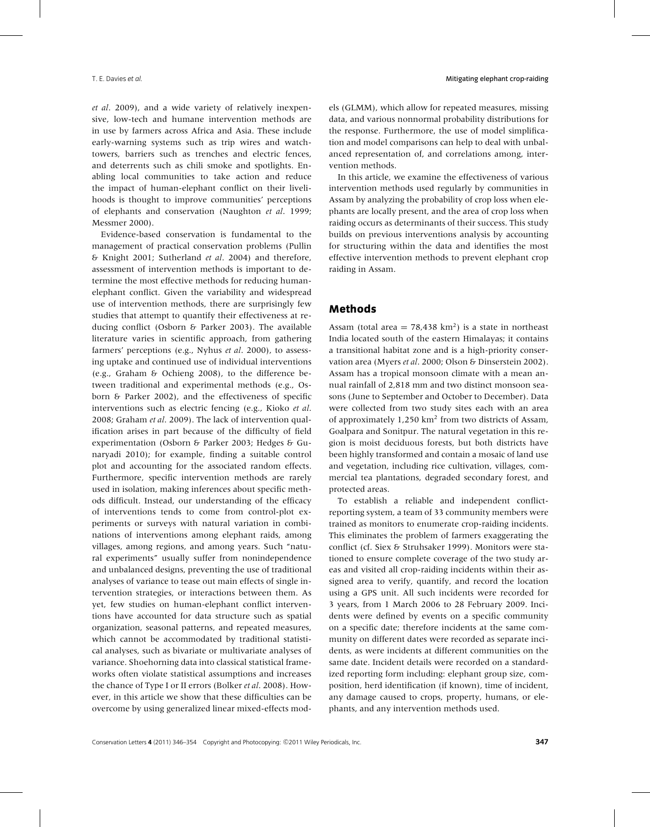*et al*. 2009), and a wide variety of relatively inexpensive, low-tech and humane intervention methods are in use by farmers across Africa and Asia. These include early-warning systems such as trip wires and watchtowers, barriers such as trenches and electric fences, and deterrents such as chili smoke and spotlights. Enabling local communities to take action and reduce the impact of human-elephant conflict on their livelihoods is thought to improve communities' perceptions of elephants and conservation (Naughton *et al*. 1999; Messmer 2000).

Evidence-based conservation is fundamental to the management of practical conservation problems (Pullin & Knight 2001; Sutherland *et al*. 2004) and therefore, assessment of intervention methods is important to determine the most effective methods for reducing humanelephant conflict. Given the variability and widespread use of intervention methods, there are surprisingly few studies that attempt to quantify their effectiveness at reducing conflict (Osborn & Parker 2003). The available literature varies in scientific approach, from gathering farmers' perceptions (e.g., Nyhus *et al*. 2000), to assessing uptake and continued use of individual interventions (e.g., Graham & Ochieng 2008), to the difference between traditional and experimental methods (e.g., Osborn & Parker 2002), and the effectiveness of specific interventions such as electric fencing (e.g., Kioko *et al*. 2008; Graham *et al*. 2009). The lack of intervention qualification arises in part because of the difficulty of field experimentation (Osborn & Parker 2003; Hedges & Gunaryadi 2010); for example, finding a suitable control plot and accounting for the associated random effects. Furthermore, specific intervention methods are rarely used in isolation, making inferences about specific methods difficult. Instead, our understanding of the efficacy of interventions tends to come from control-plot experiments or surveys with natural variation in combinations of interventions among elephant raids, among villages, among regions, and among years. Such "natural experiments" usually suffer from nonindependence and unbalanced designs, preventing the use of traditional analyses of variance to tease out main effects of single intervention strategies, or interactions between them. As yet, few studies on human-elephant conflict interventions have accounted for data structure such as spatial organization, seasonal patterns, and repeated measures, which cannot be accommodated by traditional statistical analyses, such as bivariate or multivariate analyses of variance. Shoehorning data into classical statistical frameworks often violate statistical assumptions and increases the chance of Type I or II errors (Bolker *et al*. 2008). However, in this article we show that these difficulties can be overcome by using generalized linear mixed-effects models (GLMM), which allow for repeated measures, missing data, and various nonnormal probability distributions for the response. Furthermore, the use of model simplification and model comparisons can help to deal with unbalanced representation of, and correlations among, intervention methods.

In this article, we examine the effectiveness of various intervention methods used regularly by communities in Assam by analyzing the probability of crop loss when elephants are locally present, and the area of crop loss when raiding occurs as determinants of their success. This study builds on previous interventions analysis by accounting for structuring within the data and identifies the most effective intervention methods to prevent elephant crop raiding in Assam.

## **Methods**

Assam (total area =  $78.438 \text{ km}^2$ ) is a state in northeast India located south of the eastern Himalayas; it contains a transitional habitat zone and is a high-priority conservation area (Myers *et al*. 2000; Olson & Dinserstein 2002). Assam has a tropical monsoon climate with a mean annual rainfall of 2,818 mm and two distinct monsoon seasons (June to September and October to December). Data were collected from two study sites each with an area of approximately 1,250 km2 from two districts of Assam, Goalpara and Sonitpur. The natural vegetation in this region is moist deciduous forests, but both districts have been highly transformed and contain a mosaic of land use and vegetation, including rice cultivation, villages, commercial tea plantations, degraded secondary forest, and protected areas.

To establish a reliable and independent conflictreporting system, a team of 33 community members were trained as monitors to enumerate crop-raiding incidents. This eliminates the problem of farmers exaggerating the conflict (cf. Siex & Struhsaker 1999). Monitors were stationed to ensure complete coverage of the two study areas and visited all crop-raiding incidents within their assigned area to verify, quantify, and record the location using a GPS unit. All such incidents were recorded for 3 years, from 1 March 2006 to 28 February 2009. Incidents were defined by events on a specific community on a specific date; therefore incidents at the same community on different dates were recorded as separate incidents, as were incidents at different communities on the same date. Incident details were recorded on a standardized reporting form including: elephant group size, composition, herd identification (if known), time of incident, any damage caused to crops, property, humans, or elephants, and any intervention methods used.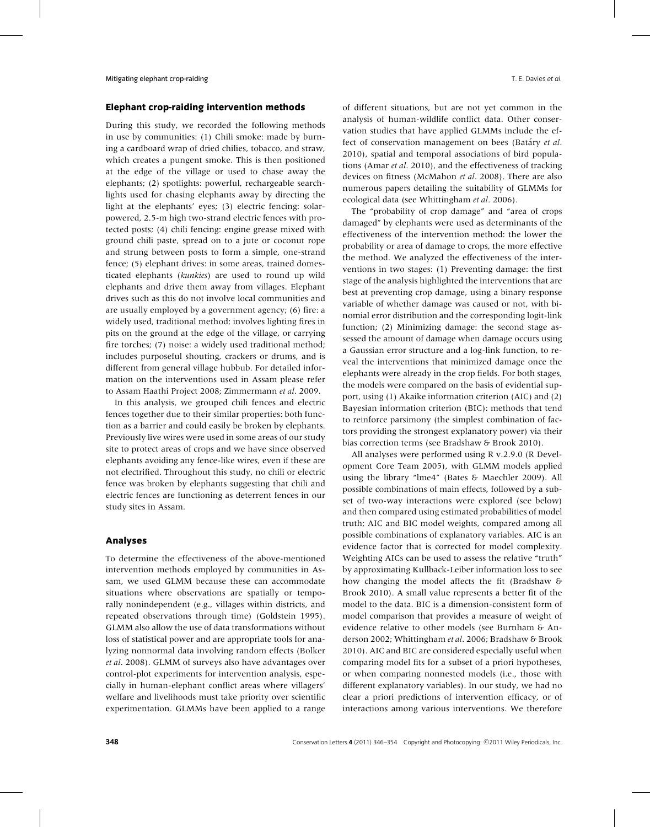#### **Elephant crop-raiding intervention methods**

During this study, we recorded the following methods in use by communities: (1) Chili smoke: made by burning a cardboard wrap of dried chilies, tobacco, and straw, which creates a pungent smoke. This is then positioned at the edge of the village or used to chase away the elephants; (2) spotlights: powerful, rechargeable searchlights used for chasing elephants away by directing the light at the elephants' eyes; (3) electric fencing: solarpowered, 2.5-m high two-strand electric fences with protected posts; (4) chili fencing: engine grease mixed with ground chili paste, spread on to a jute or coconut rope and strung between posts to form a simple, one-strand fence; (5) elephant drives: in some areas, trained domesticated elephants (*kunkies*) are used to round up wild elephants and drive them away from villages. Elephant drives such as this do not involve local communities and are usually employed by a government agency; (6) fire: a widely used, traditional method; involves lighting fires in pits on the ground at the edge of the village, or carrying fire torches; (7) noise: a widely used traditional method; includes purposeful shouting, crackers or drums, and is different from general village hubbub. For detailed information on the interventions used in Assam please refer to Assam Haathi Project 2008; Zimmermann *et al*. 2009.

In this analysis, we grouped chili fences and electric fences together due to their similar properties: both function as a barrier and could easily be broken by elephants. Previously live wires were used in some areas of our study site to protect areas of crops and we have since observed elephants avoiding any fence-like wires, even if these are not electrified. Throughout this study, no chili or electric fence was broken by elephants suggesting that chili and electric fences are functioning as deterrent fences in our study sites in Assam.

### **Analyses**

To determine the effectiveness of the above-mentioned intervention methods employed by communities in Assam, we used GLMM because these can accommodate situations where observations are spatially or temporally nonindependent (e.g., villages within districts, and repeated observations through time) (Goldstein 1995). GLMM also allow the use of data transformations without loss of statistical power and are appropriate tools for analyzing nonnormal data involving random effects (Bolker *et al*. 2008). GLMM of surveys also have advantages over control-plot experiments for intervention analysis, especially in human-elephant conflict areas where villagers' welfare and livelihoods must take priority over scientific experimentation. GLMMs have been applied to a range

of different situations, but are not yet common in the analysis of human-wildlife conflict data. Other conservation studies that have applied GLMMs include the effect of conservation management on bees (Batáry et al. 2010), spatial and temporal associations of bird populations (Amar *et al*. 2010), and the effectiveness of tracking devices on fitness (McMahon *et al*. 2008). There are also numerous papers detailing the suitability of GLMMs for ecological data (see Whittingham *et al*. 2006).

The "probability of crop damage" and "area of crops damaged" by elephants were used as determinants of the effectiveness of the intervention method: the lower the probability or area of damage to crops, the more effective the method. We analyzed the effectiveness of the interventions in two stages: (1) Preventing damage: the first stage of the analysis highlighted the interventions that are best at preventing crop damage, using a binary response variable of whether damage was caused or not, with binomial error distribution and the corresponding logit-link function; (2) Minimizing damage: the second stage assessed the amount of damage when damage occurs using a Gaussian error structure and a log-link function, to reveal the interventions that minimized damage once the elephants were already in the crop fields. For both stages, the models were compared on the basis of evidential support, using (1) Akaike information criterion (AIC) and (2) Bayesian information criterion (BIC): methods that tend to reinforce parsimony (the simplest combination of factors providing the strongest explanatory power) via their bias correction terms (see Bradshaw & Brook 2010).

All analyses were performed using R v.2.9.0 (R Development Core Team 2005), with GLMM models applied using the library "lme4" (Bates & Maechler 2009). All possible combinations of main effects, followed by a subset of two-way interactions were explored (see below) and then compared using estimated probabilities of model truth; AIC and BIC model weights, compared among all possible combinations of explanatory variables. AIC is an evidence factor that is corrected for model complexity. Weighting AICs can be used to assess the relative "truth" by approximating Kullback-Leiber information loss to see how changing the model affects the fit (Bradshaw & Brook 2010). A small value represents a better fit of the model to the data. BIC is a dimension-consistent form of model comparison that provides a measure of weight of evidence relative to other models (see Burnham & Anderson 2002; Whittingham *et al*. 2006; Bradshaw & Brook 2010). AIC and BIC are considered especially useful when comparing model fits for a subset of a priori hypotheses, or when comparing nonnested models (i.e., those with different explanatory variables). In our study, we had no clear a priori predictions of intervention efficacy, or of interactions among various interventions. We therefore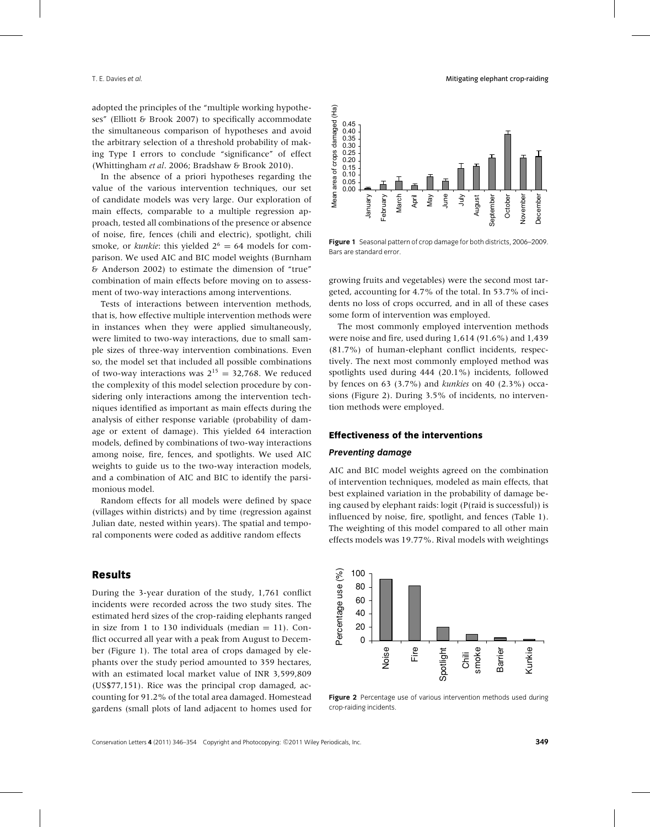adopted the principles of the "multiple working hypotheses" (Elliott & Brook 2007) to specifically accommodate the simultaneous comparison of hypotheses and avoid the arbitrary selection of a threshold probability of making Type I errors to conclude "significance" of effect (Whittingham *et al*. 2006; Bradshaw & Brook 2010).

In the absence of a priori hypotheses regarding the value of the various intervention techniques, our set of candidate models was very large. Our exploration of main effects, comparable to a multiple regression approach, tested all combinations of the presence or absence of noise, fire, fences (chili and electric), spotlight, chili smoke, or *kunkie*: this yielded  $2^6 = 64$  models for comparison. We used AIC and BIC model weights (Burnham & Anderson 2002) to estimate the dimension of "true" combination of main effects before moving on to assessment of two-way interactions among interventions.

Tests of interactions between intervention methods, that is, how effective multiple intervention methods were in instances when they were applied simultaneously, were limited to two-way interactions, due to small sample sizes of three-way intervention combinations. Even so, the model set that included all possible combinations of two-way interactions was  $2^{15} = 32,768$ . We reduced the complexity of this model selection procedure by considering only interactions among the intervention techniques identified as important as main effects during the analysis of either response variable (probability of damage or extent of damage). This yielded 64 interaction models, defined by combinations of two-way interactions among noise, fire, fences, and spotlights. We used AIC weights to guide us to the two-way interaction models, and a combination of AIC and BIC to identify the parsimonious model.

Random effects for all models were defined by space (villages within districts) and by time (regression against Julian date, nested within years). The spatial and temporal components were coded as additive random effects

### **Results**

During the 3-year duration of the study, 1,761 conflict incidents were recorded across the two study sites. The estimated herd sizes of the crop-raiding elephants ranged in size from 1 to 130 individuals (median  $= 11$ ). Conflict occurred all year with a peak from August to December (Figure 1). The total area of crops damaged by elephants over the study period amounted to 359 hectares, with an estimated local market value of INR 3,599,809 (US\$77,151). Rice was the principal crop damaged, accounting for 91.2% of the total area damaged. Homestead gardens (small plots of land adjacent to homes used for



**Figure 1** Seasonal pattern of crop damage for both districts, 2006–2009. Bars are standard error.

growing fruits and vegetables) were the second most targeted, accounting for 4.7% of the total. In 53.7% of incidents no loss of crops occurred, and in all of these cases some form of intervention was employed.

The most commonly employed intervention methods were noise and fire, used during 1,614 (91.6%) and 1,439 (81.7%) of human-elephant conflict incidents, respectively. The next most commonly employed method was spotlights used during 444 (20.1%) incidents, followed by fences on 63 (3.7%) and *kunkies* on 40 (2.3%) occasions (Figure 2). During 3.5% of incidents, no intervention methods were employed.

#### **Effectiveness of the interventions**

#### *Preventing damage*

AIC and BIC model weights agreed on the combination of intervention techniques, modeled as main effects, that best explained variation in the probability of damage being caused by elephant raids: logit (P(raid is successful)) is influenced by noise, fire, spotlight, and fences (Table 1). The weighting of this model compared to all other main effects models was 19.77%. Rival models with weightings



Figure 2 Percentage use of various intervention methods used during crop-raiding incidents.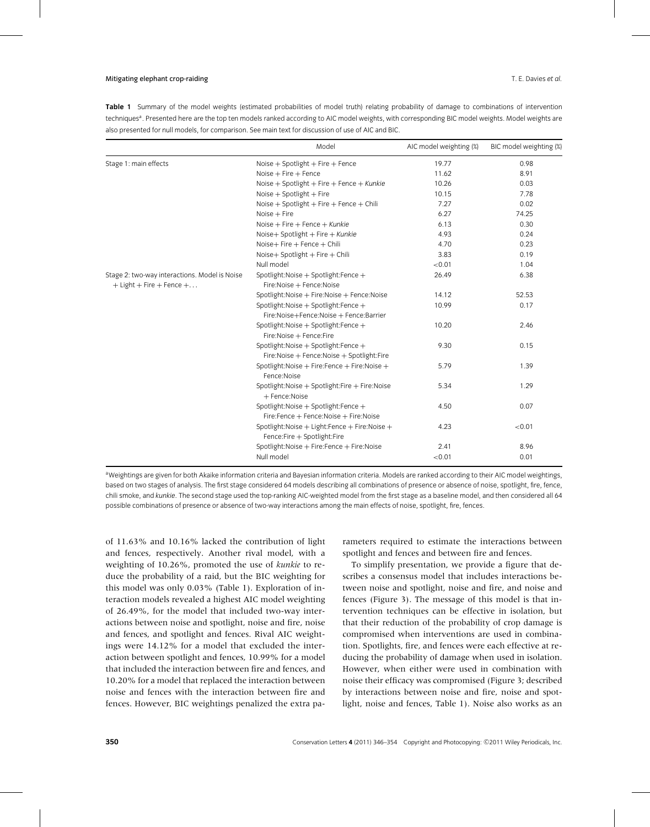**Table 1** Summary of the model weights (estimated probabilities of model truth) relating probability of damage to combinations of intervention techniques<sup>a</sup>. Presented here are the top ten models ranked according to AIC model weights, with corresponding BIC model weights. Model weights are also presented for null models, for comparison. See main text for discussion of use of AIC and BIC.

|                                                                             | Model                                                                            | AIC model weighting (%) | BIC model weighting (%) |
|-----------------------------------------------------------------------------|----------------------------------------------------------------------------------|-------------------------|-------------------------|
| Stage 1: main effects                                                       | Noise + Spotlight + Fire + Fence                                                 | 19.77                   | 0.98                    |
|                                                                             | Noise $+$ Fire $+$ Fence                                                         | 11.62                   | 8.91                    |
|                                                                             | Noise + Spotlight + Fire + Fence + Kunkie                                        | 10.26                   | 0.03                    |
|                                                                             | Noise $+$ Spotlight $+$ Fire                                                     | 10.15                   | 7.78                    |
|                                                                             | Noise + Spotlight + Fire + Fence + Chili                                         | 7.27                    | 0.02                    |
|                                                                             | Noise $+$ Fire                                                                   | 6.27                    | 74.25                   |
|                                                                             | Noise + Fire + Fence + Kunkie                                                    | 6.13                    | 0.30                    |
|                                                                             | Noise+ Spotlight + Fire + Kunkie                                                 | 4.93                    | 0.24                    |
|                                                                             | Noise+ Fire + Fence + Chili                                                      | 4.70                    | 0.23                    |
|                                                                             | Noise+ Spotlight + Fire + Chili                                                  | 3.83                    | 0.19                    |
|                                                                             | Null model                                                                       | < 0.01                  | 1.04                    |
| Stage 2: two-way interactions. Model is Noise<br>$+$ Light + Fire + Fence + | Spotlight:Noise + Spotlight:Fence +<br>Fire:Noise + Fence:Noise                  | 26.49                   | 6.38                    |
|                                                                             | Spotlight:Noise + Fire:Noise + Fence:Noise                                       | 14.12                   | 52.53                   |
|                                                                             | Spotlight:Noise + Spotlight:Fence +<br>Fire:Noise+Fence:Noise + Fence:Barrier    | 10.99                   | 0.17                    |
|                                                                             | Spotlight:Noise + Spotlight:Fence +<br>Fire:Noise + Fence:Fire                   | 10.20                   | 2.46                    |
|                                                                             | Spotlight:Noise + Spotlight:Fence +<br>Fire:Noise + Fence:Noise + Spotlight:Fire | 9.30                    | 0.15                    |
|                                                                             | Spotlight:Noise + Fire:Fence + Fire:Noise +<br>Fence:Noise                       | 5.79                    | 1.39                    |
|                                                                             | Spotlight:Noise + Spotlight:Fire + Fire:Noise<br>+ Fence:Noise                   | 5.34                    | 1.29                    |
|                                                                             | Spotlight:Noise + Spotlight:Fence +<br>Fire:Fence + Fence:Noise + Fire:Noise     | 4.50                    | 0.07                    |
|                                                                             | Spotlight:Noise + Light:Fence + Fire:Noise +<br>Fence:Fire + Spotlight:Fire      | 4.23                    | < 0.01                  |
|                                                                             | Spotlight:Noise + Fire:Fence + Fire:Noise                                        | 2.41                    | 8.96                    |
|                                                                             | Null model                                                                       | < 0.01                  | 0.01                    |

aWeightings are given for both Akaike information criteria and Bayesian information criteria. Models are ranked according to their AIC model weightings, based on two stages of analysis. The first stage considered 64 models describing all combinations of presence or absence of noise, spotlight, fire, fence, chili smoke, and *kunkie*. The second stage used the top-ranking AIC-weighted model from the first stage as a baseline model, and then considered all 64 possible combinations of presence or absence of two-way interactions among the main effects of noise, spotlight, fire, fences.

of 11.63% and 10.16% lacked the contribution of light and fences, respectively. Another rival model, with a weighting of 10.26%, promoted the use of *kunkie* to reduce the probability of a raid, but the BIC weighting for this model was only 0.03% (Table 1). Exploration of interaction models revealed a highest AIC model weighting of 26.49%, for the model that included two-way interactions between noise and spotlight, noise and fire, noise and fences, and spotlight and fences. Rival AIC weightings were 14.12% for a model that excluded the interaction between spotlight and fences, 10.99% for a model that included the interaction between fire and fences, and 10.20% for a model that replaced the interaction between noise and fences with the interaction between fire and fences. However, BIC weightings penalized the extra pa-

rameters required to estimate the interactions between spotlight and fences and between fire and fences.

To simplify presentation, we provide a figure that describes a consensus model that includes interactions between noise and spotlight, noise and fire, and noise and fences (Figure 3). The message of this model is that intervention techniques can be effective in isolation, but that their reduction of the probability of crop damage is compromised when interventions are used in combination. Spotlights, fire, and fences were each effective at reducing the probability of damage when used in isolation. However, when either were used in combination with noise their efficacy was compromised (Figure 3; described by interactions between noise and fire, noise and spotlight, noise and fences, Table 1). Noise also works as an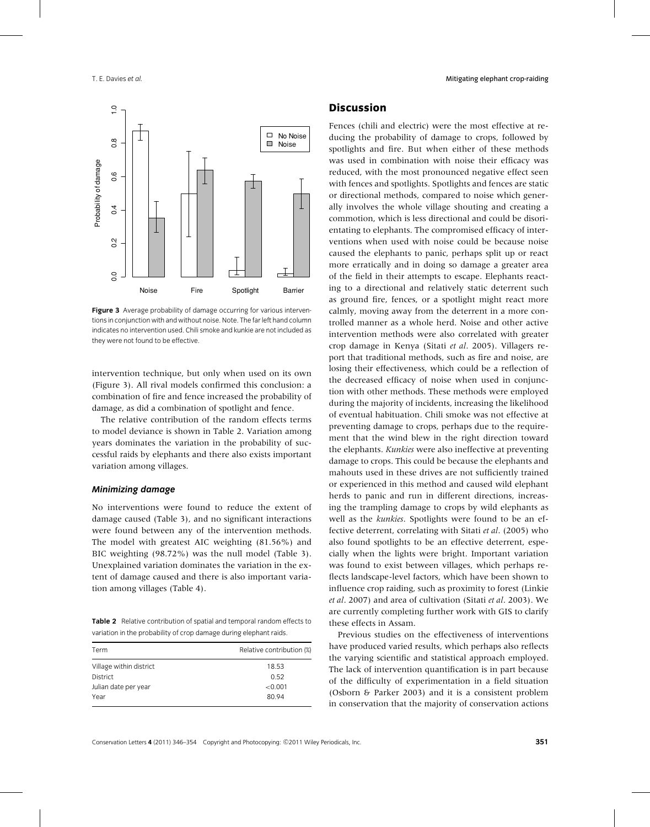

**Figure 3** Average probability of damage occurring for various interventions in conjunction with and without noise. Note. The far left hand column indicates no intervention used. Chili smoke and kunkie are not included as they were not found to be effective.

intervention technique, but only when used on its own (Figure 3). All rival models confirmed this conclusion: a combination of fire and fence increased the probability of damage, as did a combination of spotlight and fence.

The relative contribution of the random effects terms to model deviance is shown in Table 2. Variation among years dominates the variation in the probability of successful raids by elephants and there also exists important variation among villages.

#### *Minimizing damage*

No interventions were found to reduce the extent of damage caused (Table 3), and no significant interactions were found between any of the intervention methods. The model with greatest AIC weighting (81.56%) and BIC weighting (98.72%) was the null model (Table 3). Unexplained variation dominates the variation in the extent of damage caused and there is also important variation among villages (Table 4).

**Table 2** Relative contribution of spatial and temporal random effects to variation in the probability of crop damage during elephant raids.

| Relative contribution (%) |  |
|---------------------------|--|
| 18.53                     |  |
| 0.52                      |  |
| < 0.001                   |  |
| 80.94                     |  |
|                           |  |

# **Discussion**

Fences (chili and electric) were the most effective at reducing the probability of damage to crops, followed by spotlights and fire. But when either of these methods was used in combination with noise their efficacy was reduced, with the most pronounced negative effect seen with fences and spotlights. Spotlights and fences are static or directional methods, compared to noise which generally involves the whole village shouting and creating a commotion, which is less directional and could be disorientating to elephants. The compromised efficacy of interventions when used with noise could be because noise caused the elephants to panic, perhaps split up or react more erratically and in doing so damage a greater area of the field in their attempts to escape. Elephants reacting to a directional and relatively static deterrent such as ground fire, fences, or a spotlight might react more calmly, moving away from the deterrent in a more controlled manner as a whole herd. Noise and other active intervention methods were also correlated with greater crop damage in Kenya (Sitati *et al*. 2005). Villagers report that traditional methods, such as fire and noise, are losing their effectiveness, which could be a reflection of the decreased efficacy of noise when used in conjunction with other methods. These methods were employed during the majority of incidents, increasing the likelihood of eventual habituation. Chili smoke was not effective at preventing damage to crops, perhaps due to the requirement that the wind blew in the right direction toward the elephants. *Kunkies* were also ineffective at preventing damage to crops. This could be because the elephants and mahouts used in these drives are not sufficiently trained or experienced in this method and caused wild elephant herds to panic and run in different directions, increasing the trampling damage to crops by wild elephants as well as the *kunkies*. Spotlights were found to be an effective deterrent, correlating with Sitati *et al*. (2005) who also found spotlights to be an effective deterrent, especially when the lights were bright. Important variation was found to exist between villages, which perhaps reflects landscape-level factors, which have been shown to influence crop raiding, such as proximity to forest (Linkie *et al*. 2007) and area of cultivation (Sitati *et al*. 2003). We are currently completing further work with GIS to clarify these effects in Assam.

Previous studies on the effectiveness of interventions have produced varied results, which perhaps also reflects the varying scientific and statistical approach employed. The lack of intervention quantification is in part because of the difficulty of experimentation in a field situation (Osborn & Parker 2003) and it is a consistent problem in conservation that the majority of conservation actions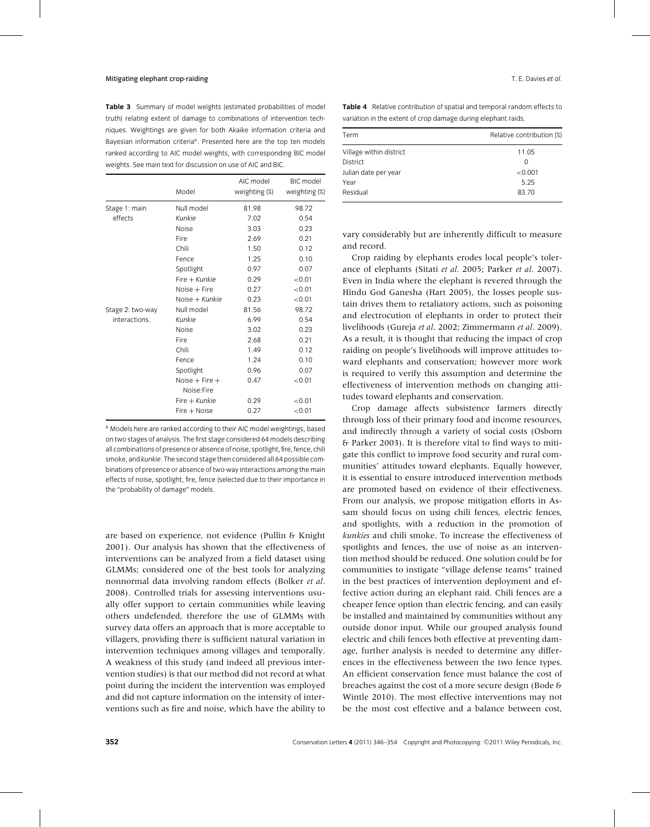**Table 3** Summary of model weights (estimated probabilities of model truth) relating extent of damage to combinations of intervention techniques. Weightings are given for both Akaike information criteria and Bayesian information criteria<sup>a</sup>. Presented here are the top ten models ranked according to AIC model weights, with corresponding BIC model weights. See main text for discussion on use of AIC and BIC.

|                  | Model                            | AIC model<br>weighting (%) | <b>BIC</b> model<br>weighting (%) |
|------------------|----------------------------------|----------------------------|-----------------------------------|
| Stage 1: main    | Null model                       | 81.98                      | 98.72                             |
| effects          | Kunkie                           | 7.02                       | 0.54                              |
|                  | Noise                            | 3.03                       | 0.23                              |
|                  | Fire                             | 2.69                       | 0.21                              |
|                  | Chili                            | 1.50                       | 0.12                              |
|                  | Fence                            | 1.25                       | 0.10                              |
|                  | Spotlight                        | 0.97                       | 0.07                              |
|                  | $Fire + Kunkie$                  | 0.29                       | < 0.01                            |
|                  | Noise $+$ Fire                   | 0.27                       | < 0.01                            |
|                  | Noise $+$ Kunkie                 | 0.23                       | < 0.01                            |
| Stage 2: two-way | Null model                       | 81.56                      | 98.72                             |
| interactions.    | Kunkie                           | 6.99                       | 0.54                              |
|                  | Noise                            | 3.02                       | 0.23                              |
|                  | Fire                             | 2.68                       | 0.21                              |
|                  | Chili                            | 1.49                       | 0.12                              |
|                  | Fence                            | 1.24                       | 0.10                              |
|                  | Spotlight                        | 0.96                       | 0.07                              |
|                  | Noise $+$ Fire $+$<br>Noise:Fire | 0.47                       | < 0.01                            |
|                  | $Fire + Kunkie$                  | 0.29                       | < 0.01                            |
|                  | $Fire + Noise$                   | 0.27                       | < 0.01                            |
|                  |                                  |                            |                                   |

a Models here are ranked according to their AIC model weightings, based on two stages of analysis. The first stage considered 64 models describing all combinations of presence or absence of noise, spotlight, fire, fence, chili smoke, and *kunkie*. The second stage then considered all 64 possible combinations of presence or absence of two-way interactions among the main effects of noise, spotlight, fire, fence (selected due to their importance in the "probability of damage" models.

are based on experience, not evidence (Pullin & Knight 2001). Our analysis has shown that the effectiveness of interventions can be analyzed from a field dataset using GLMMs; considered one of the best tools for analyzing nonnormal data involving random effects (Bolker *et al*. 2008). Controlled trials for assessing interventions usually offer support to certain communities while leaving others undefended, therefore the use of GLMMs with survey data offers an approach that is more acceptable to villagers, providing there is sufficient natural variation in intervention techniques among villages and temporally. A weakness of this study (and indeed all previous intervention studies) is that our method did not record at what point during the incident the intervention was employed and did not capture information on the intensity of interventions such as fire and noise, which have the ability to

**Table 4** Relative contribution of spatial and temporal random effects to variation in the extent of crop damage during elephant raids.

| Relative contribution (%) |
|---------------------------|
| 11.05                     |
| 0                         |
| < 0.001                   |
| 5.25                      |
| 83.70                     |
|                           |

vary considerably but are inherently difficult to measure and record.

Crop raiding by elephants erodes local people's tolerance of elephants (Sitati *et al.* 2005; Parker *et al*. 2007). Even in India where the elephant is revered through the Hindu God Ganesha (Hart 2005), the losses people sustain drives them to retaliatory actions, such as poisoning and electrocution of elephants in order to protect their livelihoods (Gureja *et al*. 2002; Zimmermann *et al*. 2009). As a result, it is thought that reducing the impact of crop raiding on people's livelihoods will improve attitudes toward elephants and conservation; however more work is required to verify this assumption and determine the effectiveness of intervention methods on changing attitudes toward elephants and conservation.

Crop damage affects subsistence farmers directly through loss of their primary food and income resources, and indirectly through a variety of social costs (Osborn & Parker 2003). It is therefore vital to find ways to mitigate this conflict to improve food security and rural communities' attitudes toward elephants. Equally however, it is essential to ensure introduced intervention methods are promoted based on evidence of their effectiveness. From our analysis, we propose mitigation efforts in Assam should focus on using chili fences, electric fences, and spotlights, with a reduction in the promotion of *kunkies* and chili smoke. To increase the effectiveness of spotlights and fences, the use of noise as an intervention method should be reduced. One solution could be for communities to instigate "village defense teams" trained in the best practices of intervention deployment and effective action during an elephant raid. Chili fences are a cheaper fence option than electric fencing, and can easily be installed and maintained by communities without any outside donor input. While our grouped analysis found electric and chili fences both effective at preventing damage, further analysis is needed to determine any differences in the effectiveness between the two fence types. An efficient conservation fence must balance the cost of breaches against the cost of a more secure design (Bode & Wintle 2010). The most effective interventions may not be the most cost effective and a balance between cost,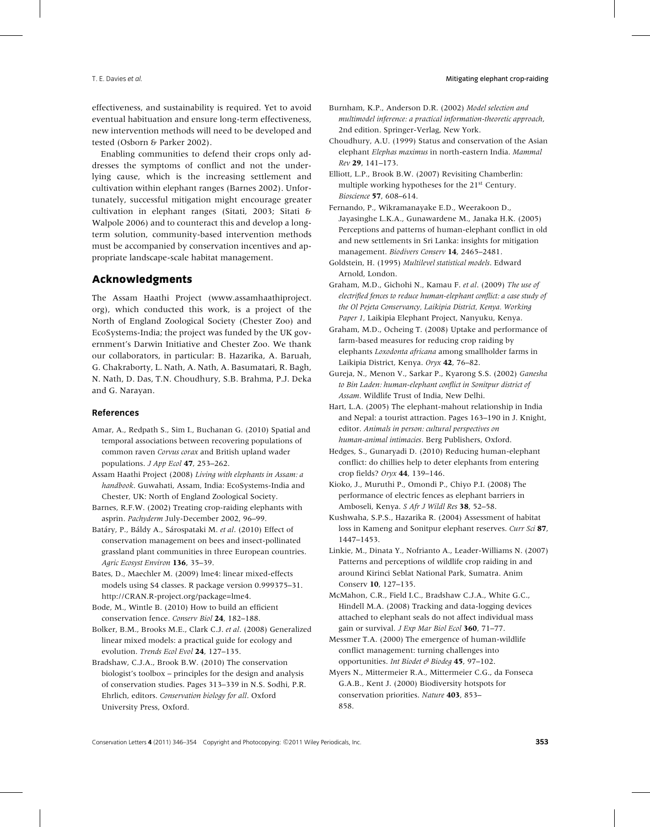effectiveness, and sustainability is required. Yet to avoid eventual habituation and ensure long-term effectiveness, new intervention methods will need to be developed and tested (Osborn & Parker 2002).

Enabling communities to defend their crops only addresses the symptoms of conflict and not the underlying cause, which is the increasing settlement and cultivation within elephant ranges (Barnes 2002). Unfortunately, successful mitigation might encourage greater cultivation in elephant ranges (Sitati, 2003; Sitati & Walpole 2006) and to counteract this and develop a longterm solution, community-based intervention methods must be accompanied by conservation incentives and appropriate landscape-scale habitat management.

# **Acknowledgments**

The Assam Haathi Project (www.assamhaathiproject. org), which conducted this work, is a project of the North of England Zoological Society (Chester Zoo) and EcoSystems-India; the project was funded by the UK government's Darwin Initiative and Chester Zoo. We thank our collaborators, in particular: B. Hazarika, A. Baruah, G. Chakraborty, L. Nath, A. Nath, A. Basumatari, R. Bagh, N. Nath, D. Das, T.N. Choudhury, S.B. Brahma, P.J. Deka and G. Narayan.

#### **References**

- Amar, A., Redpath S., Sim I., Buchanan G. (2010) Spatial and temporal associations between recovering populations of common raven *Corvus corax* and British upland wader populations. *J App Ecol* **47**, 253–262.
- Assam Haathi Project (2008) *Living with elephants in Assam: a handbook*. Guwahati, Assam, India: EcoSystems-India and Chester, UK: North of England Zoological Society.
- Barnes, R.F.W. (2002) Treating crop-raiding elephants with asprin. *Pachyderm* July-December 2002, 96–99.
- Batáry, P., Báldy A., Sárospataki M. et al. (2010) Effect of conservation management on bees and insect-pollinated grassland plant communities in three European countries. *Agric Ecosyst Environ* **136**, 35–39.

Bates, D., Maechler M. (2009) lme4: linear mixed-effects models using S4 classes. R package version 0.999375–31. http://CRAN.R-project.org/package=lme4.

Bode, M., Wintle B. (2010) How to build an efficient conservation fence. *Conserv Biol* **24**, 182–188.

Bolker, B.M., Brooks M.E., Clark C.J. *et al*. (2008) Generalized linear mixed models: a practical guide for ecology and evolution. *Trends Ecol Evol* **24**, 127–135.

Bradshaw, C.J.A., Brook B.W. (2010) The conservation biologist's toolbox – principles for the design and analysis of conservation studies. Pages 313–339 in N.S. Sodhi, P.R. Ehrlich, editors. *Conservation biology for all*. Oxford University Press, Oxford.

- Burnham, K.P., Anderson D.R. (2002) *Model selection and multimodel inference: a practical information-theoretic approach*, 2nd edition. Springer-Verlag, New York.
- Choudhury, A.U. (1999) Status and conservation of the Asian elephant *Elephas maximus* in north-eastern India. *Mammal Rev* **29**, 141–173.
- Elliott, L.P., Brook B.W. (2007) Revisiting Chamberlin: multiple working hypotheses for the 21<sup>st</sup> Century. *Bioscience* **57**, 608–614.

Fernando, P., Wikramanayake E.D., Weerakoon D., Jayasinghe L.K.A., Gunawardene M., Janaka H.K. (2005) Perceptions and patterns of human-elephant conflict in old and new settlements in Sri Lanka: insights for mitigation management. *Biodivers Conserv* **14**, 2465–2481.

- Goldstein, H. (1995) *Multilevel statistical models*. Edward Arnold, London.
- Graham, M.D., Gichohi N., Kamau F. *et al*. (2009) *The use of electrified fences to reduce human-elephant conflict: a case study of the Ol Pejeta Conservancy, Laikipia District, Kenya. Working Paper 1*, Laikipia Elephant Project, Nanyuku, Kenya.
- Graham, M.D., Ocheing T. (2008) Uptake and performance of farm-based measures for reducing crop raiding by elephants *Loxodonta africana* among smallholder farms in Laikipia District, Kenya. *Oryx* **42**, 76–82.
- Gureja, N., Menon V., Sarkar P., Kyarong S.S. (2002) *Ganesha to Bin Laden: human-elephant conflict in Sonitpur district of Assam*. Wildlife Trust of India, New Delhi.
- Hart, L.A. (2005) The elephant-mahout relationship in India and Nepal: a tourist attraction. Pages 163–190 in J. Knight, editor. *Animals in person: cultural perspectives on human-animal intimacies*. Berg Publishers, Oxford.
- Hedges, S., Gunaryadi D. (2010) Reducing human-elephant conflict: do chillies help to deter elephants from entering crop fields? *Oryx* **44**, 139–146.

Kioko, J., Muruthi P., Omondi P., Chiyo P.I. (2008) The performance of electric fences as elephant barriers in Amboseli, Kenya. *S Afr J Wildl Res* **38**, 52–58.

- Kushwaha, S.P.S., Hazarika R. (2004) Assessment of habitat loss in Kameng and Sonitpur elephant reserves. *Curr Sci* **87**, 1447–1453.
- Linkie, M., Dinata Y., Nofrianto A., Leader-Williams N. (2007) Patterns and perceptions of wildlife crop raiding in and around Kirinci Seblat National Park, Sumatra. Anim Conserv **10**, 127–135.

McMahon, C.R., Field I.C., Bradshaw C.J.A., White G.C., Hindell M.A. (2008) Tracking and data-logging devices attached to elephant seals do not affect individual mass gain or survival. *J Exp Mar Biol Ecol* **360**, 71–77.

Messmer T.A. (2000) The emergence of human-wildlife conflict management: turning challenges into opportunities. *Int Biodet & Biodeg* **45**, 97–102.

Myers N., Mittermeier R.A., Mittermeier C.G., da Fonseca G.A.B., Kent J. (2000) Biodiversity hotspots for conservation priorities. *Nature* **403**, 853– 858.